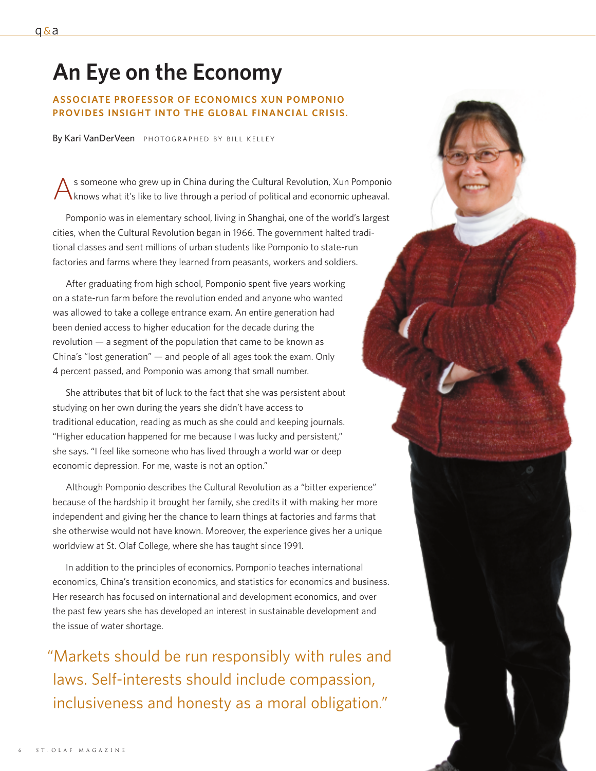# **An Eye on the Economy**

## **ASSOCIATE PROFESSOR OF ECONOMICS XUN POMPONIO PROVIDES INSIGHT INTO THE GLOBAL FINANCIAL CRISIS.**

By Kari VanDerVeen PHOTOGRAPHED BY BILL KELLEY

s someone who grew up in China during the Cultural Revolution, Xun Pomponio knows what it's like to live through a period of political and economic upheaval.

Pomponio was in elementary school, living in Shanghai, one of the world's largest cities, when the Cultural Revolution began in 1966. The government halted traditional classes and sent millions of urban students like Pomponio to state-run factories and farms where they learned from peasants, workers and soldiers.

After graduating from high school, Pomponio spent five years working on a state-run farm before the revolution ended and anyone who wanted was allowed to take a college entrance exam. An entire generation had been denied access to higher education for the decade during the revolution — a segment of the population that came to be known as China's "lost generation" — and people of all ages took the exam. Only 4 percent passed, and Pomponio was among that small number.

She attributes that bit of luck to the fact that she was persistent about studying on her own during the years she didn't have access to traditional education, reading as much as she could and keeping journals. "Higher education happened for me because I was lucky and persistent," she says. "I feel like someone who has lived through a world war or deep economic depression. For me, waste is not an option."

Although Pomponio describes the Cultural Revolution as a "bitter experience" because of the hardship it brought her family, she credits it with making her more independent and giving her the chance to learn things at factories and farms that she otherwise would not have known. Moreover, the experience gives her a unique worldview at St. Olaf College, where she has taught since 1991.

In addition to the principles of economics, Pomponio teaches international economics, China's transition economics, and statistics for economics and business. Her research has focused on international and development economics, and over the past few years she has developed an interest in sustainable development and the issue of water shortage.

"Markets should be run responsibly with rules and laws. Self-interests should include compassion, inclusiveness and honesty as a moral obligation."